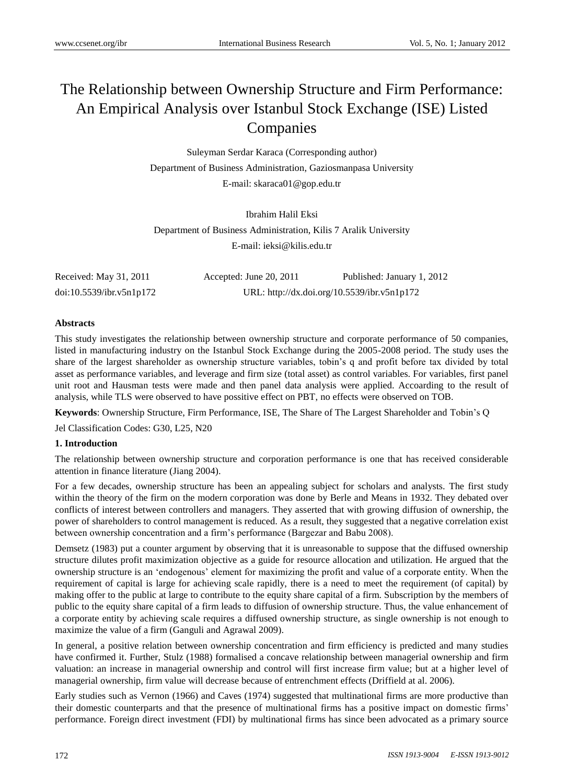# The Relationship between Ownership Structure and Firm Performance: An Empirical Analysis over Istanbul Stock Exchange (ISE) Listed Companies

Suleyman Serdar Karaca (Corresponding author) Department of Business Administration, Gaziosmanpasa University E-mail: skaraca01@gop.edu.tr

Ibrahim Halil Eksi Department of Business Administration, Kilis 7 Aralik University E-mail: ieksi@kilis.edu.tr

| Received: May 31, 2011   | Accepted: June 20, $2011$ | Published: January 1, 2012                  |
|--------------------------|---------------------------|---------------------------------------------|
| doi:10.5539/ibr.v5n1p172 |                           | URL: http://dx.doi.org/10.5539/ibr.v5n1p172 |

## **Abstracts**

This study investigates the relationship between ownership structure and corporate performance of 50 companies, listed in manufacturing industry on the Istanbul Stock Exchange during the 2005-2008 period. The study uses the share of the largest shareholder as ownership structure variables, tobin's q and profit before tax divided by total asset as performance variables, and leverage and firm size (total asset) as control variables. For variables, first panel unit root and Hausman tests were made and then panel data analysis were applied. Accoarding to the result of analysis, while TLS were observed to have possitive effect on PBT, no effects were observed on TOB.

**Keywords**: Ownership Structure, Firm Performance, ISE, The Share of The Largest Shareholder and Tobin's Q

Jel Classification Codes: G30, L25, N20

## **1. Introduction**

The relationship between ownership structure and corporation performance is one that has received considerable attention in finance literature (Jiang 2004).

For a few decades, ownership structure has been an appealing subject for scholars and analysts. The first study within the theory of the firm on the modern corporation was done by Berle and Means in 1932. They debated over conflicts of interest between controllers and managers. They asserted that with growing diffusion of ownership, the power of shareholders to control management is reduced. As a result, they suggested that a negative correlation exist between ownership concentration and a firm's performance (Bargezar and Babu 2008).

Demsetz (1983) put a counter argument by observing that it is unreasonable to suppose that the diffused ownership structure dilutes profit maximization objective as a guide for resource allocation and utilization. He argued that the ownership structure is an 'endogenous' element for maximizing the profit and value of a corporate entity. When the requirement of capital is large for achieving scale rapidly, there is a need to meet the requirement (of capital) by making offer to the public at large to contribute to the equity share capital of a firm. Subscription by the members of public to the equity share capital of a firm leads to diffusion of ownership structure. Thus, the value enhancement of a corporate entity by achieving scale requires a diffused ownership structure, as single ownership is not enough to maximize the value of a firm (Ganguli and Agrawal 2009).

In general, a positive relation between ownership concentration and firm efficiency is predicted and many studies have confirmed it. Further, Stulz (1988) formalised a concave relationship between managerial ownership and firm valuation: an increase in managerial ownership and control will first increase firm value; but at a higher level of managerial ownership, firm value will decrease because of entrenchment effects (Driffield at al. 2006).

Early studies such as Vernon (1966) and Caves (1974) suggested that multinational firms are more productive than their domestic counterparts and that the presence of multinational firms has a positive impact on domestic firms' performance. Foreign direct investment (FDI) by multinational firms has since been advocated as a primary source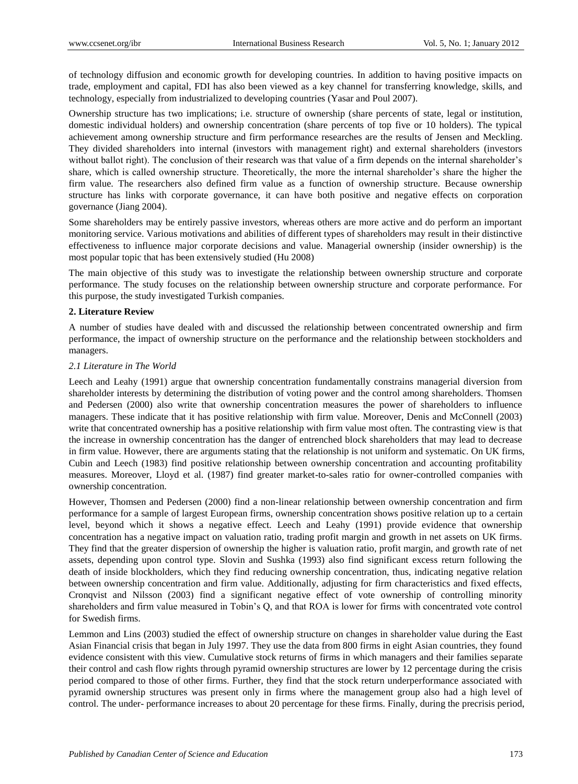of technology diffusion and economic growth for developing countries. In addition to having positive impacts on trade, employment and capital, FDI has also been viewed as a key channel for transferring knowledge, skills, and technology, especially from industrialized to developing countries (Yasar and Poul 2007).

Ownership structure has two implications; i.e. structure of ownership (share percents of state, legal or institution, domestic individual holders) and ownership concentration (share percents of top five or 10 holders). The typical achievement among ownership structure and firm performance researches are the results of Jensen and Meckling. They divided shareholders into internal (investors with management right) and external shareholders (investors without ballot right). The conclusion of their research was that value of a firm depends on the internal shareholder's share, which is called ownership structure. Theoretically, the more the internal shareholder's share the higher the firm value. The researchers also defined firm value as a function of ownership structure. Because ownership structure has links with corporate governance, it can have both positive and negative effects on corporation governance (Jiang 2004).

Some shareholders may be entirely passive investors, whereas others are more active and do perform an important monitoring service. Various motivations and abilities of different types of shareholders may result in their distinctive effectiveness to influence major corporate decisions and value. Managerial ownership (insider ownership) is the most popular topic that has been extensively studied (Hu 2008)

The main objective of this study was to investigate the relationship between ownership structure and corporate performance. The study focuses on the relationship between ownership structure and corporate performance. For this purpose, the study investigated Turkish companies.

#### **2. Literature Review**

A number of studies have dealed with and discussed the relationship between concentrated ownership and firm performance, the impact of ownership structure on the performance and the relationship between stockholders and managers.

#### *2.1 Literature in The World*

Leech and Leahy (1991) argue that ownership concentration fundamentally constrains managerial diversion from shareholder interests by determining the distribution of voting power and the control among shareholders. Thomsen and Pedersen (2000) also write that ownership concentration measures the power of shareholders to influence managers. These indicate that it has positive relationship with firm value. Moreover, Denis and McConnell (2003) write that concentrated ownership has a positive relationship with firm value most often. The contrasting view is that the increase in ownership concentration has the danger of entrenched block shareholders that may lead to decrease in firm value. However, there are arguments stating that the relationship is not uniform and systematic. On UK firms, Cubin and Leech (1983) find positive relationship between ownership concentration and accounting profitability measures. Moreover, Lloyd et al. (1987) find greater market-to-sales ratio for owner-controlled companies with ownership concentration.

However, Thomsen and Pedersen (2000) find a non-linear relationship between ownership concentration and firm performance for a sample of largest European firms, ownership concentration shows positive relation up to a certain level, beyond which it shows a negative effect. Leech and Leahy (1991) provide evidence that ownership concentration has a negative impact on valuation ratio, trading profit margin and growth in net assets on UK firms. They find that the greater dispersion of ownership the higher is valuation ratio, profit margin, and growth rate of net assets, depending upon control type. Slovin and Sushka (1993) also find significant excess return following the death of inside blockholders, which they find reducing ownership concentration, thus, indicating negative relation between ownership concentration and firm value. Additionally, adjusting for firm characteristics and fixed effects, Cronqvist and Nilsson (2003) find a significant negative effect of vote ownership of controlling minority shareholders and firm value measured in Tobin's Q, and that ROA is lower for firms with concentrated vote control for Swedish firms.

Lemmon and Lins (2003) studied the effect of ownership structure on changes in shareholder value during the East Asian Financial crisis that began in July 1997. They use the data from 800 firms in eight Asian countries, they found evidence consistent with this view. Cumulative stock returns of firms in which managers and their families separate their control and cash flow rights through pyramid ownership structures are lower by 12 percentage during the crisis period compared to those of other firms. Further, they find that the stock return underperformance associated with pyramid ownership structures was present only in firms where the management group also had a high level of control. The under- performance increases to about 20 percentage for these firms. Finally, during the precrisis period,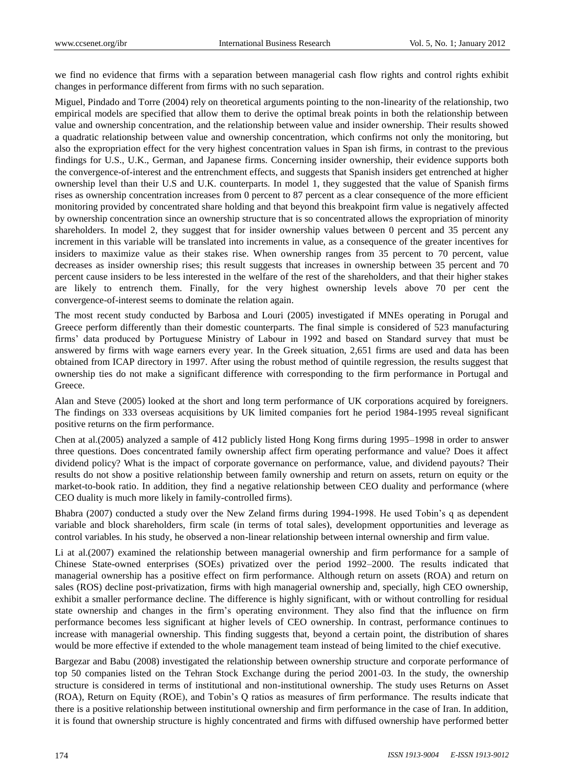we find no evidence that firms with a separation between managerial cash flow rights and control rights exhibit changes in performance different from firms with no such separation.

Miguel, Pindado and Torre (2004) rely on theoretical arguments pointing to the non-linearity of the relationship, two empirical models are specified that allow them to derive the optimal break points in both the relationship between value and ownership concentration, and the relationship between value and insider ownership. Their results showed a quadratic relationship between value and ownership concentration, which confirms not only the monitoring, but also the expropriation effect for the very highest concentration values in Span ish firms, in contrast to the previous findings for U.S., U.K., German, and Japanese firms. Concerning insider ownership, their evidence supports both the convergence-of-interest and the entrenchment effects, and suggests that Spanish insiders get entrenched at higher ownership level than their U.S and U.K. counterparts. In model 1, they suggested that the value of Spanish firms rises as ownership concentration increases from 0 percent to 87 percent as a clear consequence of the more efficient monitoring provided by concentrated share holding and that beyond this breakpoint firm value is negatively affected by ownership concentration since an ownership structure that is so concentrated allows the expropriation of minority shareholders. In model 2, they suggest that for insider ownership values between 0 percent and 35 percent any increment in this variable will be translated into increments in value, as a consequence of the greater incentives for insiders to maximize value as their stakes rise. When ownership ranges from 35 percent to 70 percent, value decreases as insider ownership rises; this result suggests that increases in ownership between 35 percent and 70 percent cause insiders to be less interested in the welfare of the rest of the shareholders, and that their higher stakes are likely to entrench them. Finally, for the very highest ownership levels above 70 per cent the convergence-of-interest seems to dominate the relation again.

The most recent study conducted by Barbosa and Louri (2005) investigated if MNEs operating in Porugal and Greece perform differently than their domestic counterparts. The final simple is considered of 523 manufacturing firms' data produced by Portuguese Ministry of Labour in 1992 and based on Standard survey that must be answered by firms with wage earners every year. In the Greek situation, 2,651 firms are used and data has been obtained from ICAP directory in 1997. After using the robust method of quintile regression, the results suggest that ownership ties do not make a significant difference with corresponding to the firm performance in Portugal and Greece.

Alan and Steve (2005) looked at the short and long term performance of UK corporations acquired by foreigners. The findings on 333 overseas acquisitions by UK limited companies fort he period 1984-1995 reveal significant positive returns on the firm performance.

Chen at al.(2005) analyzed a sample of 412 publicly listed Hong Kong firms during 1995–1998 in order to answer three questions. Does concentrated family ownership affect firm operating performance and value? Does it affect dividend policy? What is the impact of corporate governance on performance, value, and dividend payouts? Their results do not show a positive relationship between family ownership and return on assets, return on equity or the market-to-book ratio. In addition, they find a negative relationship between CEO duality and performance (where CEO duality is much more likely in family-controlled firms).

Bhabra (2007) conducted a study over the New Zeland firms during 1994-1998. He used Tobin's q as dependent variable and block shareholders, firm scale (in terms of total sales), development opportunities and leverage as control variables. In his study, he observed a non-linear relationship between internal ownership and firm value.

Li at al.(2007) examined the relationship between managerial ownership and firm performance for a sample of Chinese State-owned enterprises (SOEs) privatized over the period 1992–2000. The results indicated that managerial ownership has a positive effect on firm performance. Although return on assets (ROA) and return on sales (ROS) decline post-privatization, firms with high managerial ownership and, specially, high CEO ownership, exhibit a smaller performance decline. The difference is highly significant, with or without controlling for residual state ownership and changes in the firm's operating environment. They also find that the influence on firm performance becomes less significant at higher levels of CEO ownership. In contrast, performance continues to increase with managerial ownership. This finding suggests that, beyond a certain point, the distribution of shares would be more effective if extended to the whole management team instead of being limited to the chief executive.

Bargezar and Babu (2008) investigated the relationship between ownership structure and corporate performance of top 50 companies listed on the Tehran Stock Exchange during the period 2001-03. In the study, the ownership structure is considered in terms of institutional and non-institutional ownership. The study uses Returns on Asset (ROA), Return on Equity (ROE), and Tobin's Q ratios as measures of firm performance. The results indicate that there is a positive relationship between institutional ownership and firm performance in the case of Iran. In addition, it is found that ownership structure is highly concentrated and firms with diffused ownership have performed better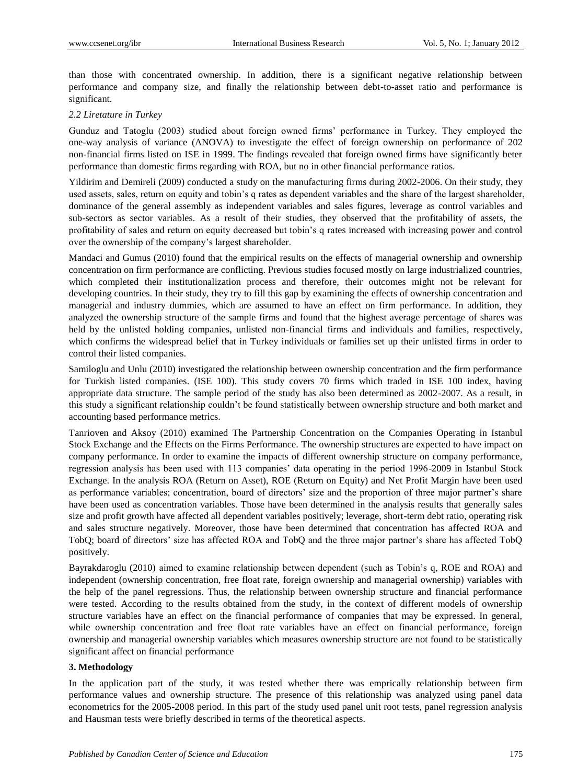than those with concentrated ownership. In addition, there is a significant negative relationship between performance and company size, and finally the relationship between debt-to-asset ratio and performance is significant.

## *2.2 Liretature in Turkey*

Gunduz and Tatoglu (2003) studied about foreign owned firms' performance in Turkey. They employed the one-way analysis of variance (ANOVA) to investigate the effect of foreign ownership on performance of 202 non-financial firms listed on ISE in 1999. The findings revealed that foreign owned firms have significantly beter performance than domestic firms regarding with ROA, but no in other financial performance ratios.

Yildirim and Demireli (2009) conducted a study on the manufacturing firms during 2002-2006. On their study, they used assets, sales, return on equity and tobin's q rates as dependent variables and the share of the largest shareholder, dominance of the general assembly as independent variables and sales figures, leverage as control variables and sub-sectors as sector variables. As a result of their studies, they observed that the profitability of assets, the profitability of sales and return on equity decreased but tobin's q rates increased with increasing power and control over the ownership of the company's largest shareholder.

Mandaci and Gumus (2010) found that the empirical results on the effects of managerial ownership and ownership concentration on firm performance are conflicting. Previous studies focused mostly on large industrialized countries, which completed their institutionalization process and therefore, their outcomes might not be relevant for developing countries. In their study, they try to fill this gap by examining the effects of ownership concentration and managerial and industry dummies, which are assumed to have an effect on firm performance. In addition, they analyzed the ownership structure of the sample firms and found that the highest average percentage of shares was held by the unlisted holding companies, unlisted non-financial firms and individuals and families, respectively, which confirms the widespread belief that in Turkey individuals or families set up their unlisted firms in order to control their listed companies.

Samiloglu and Unlu (2010) investigated the relationship between ownership concentration and the firm performance for Turkish listed companies. (ISE 100). This study covers 70 firms which traded in ISE 100 index, having appropriate data structure. The sample period of the study has also been determined as 2002-2007. As a result, in this study a significant relationship couldn't be found statistically between ownership structure and both market and accounting based performance metrics.

Tanrioven and Aksoy (2010) examined The Partnership Concentration on the Companies Operating in Istanbul Stock Exchange and the Effects on the Firms Performance. The ownership structures are expected to have impact on company performance. In order to examine the impacts of different ownership structure on company performance, regression analysis has been used with 113 companies' data operating in the period 1996-2009 in Istanbul Stock Exchange. In the analysis ROA (Return on Asset), ROE (Return on Equity) and Net Profit Margin have been used as performance variables; concentration, board of directors' size and the proportion of three major partner's share have been used as concentration variables. Those have been determined in the analysis results that generally sales size and profit growth have affected all dependent variables positively; leverage, short-term debt ratio, operating risk and sales structure negatively. Moreover, those have been determined that concentration has affected ROA and TobQ; board of directors' size has affected ROA and TobQ and the three major partner's share has affected TobQ positively.

Bayrakdaroglu (2010) aimed to examine relationship between dependent (such as Tobin's q, ROE and ROA) and independent (ownership concentration, free float rate, foreign ownership and managerial ownership) variables with the help of the panel regressions. Thus, the relationship between ownership structure and financial performance were tested. According to the results obtained from the study, in the context of different models of ownership structure variables have an effect on the financial performance of companies that may be expressed. In general, while ownership concentration and free float rate variables have an effect on financial performance, foreign ownership and managerial ownership variables which measures ownership structure are not found to be statistically significant affect on financial performance

# **3. Methodology**

In the application part of the study, it was tested whether there was emprically relationship between firm performance values and ownership structure. The presence of this relationship was analyzed using panel data econometrics for the 2005-2008 period. In this part of the study used panel unit root tests, panel regression analysis and Hausman tests were briefly described in terms of the theoretical aspects.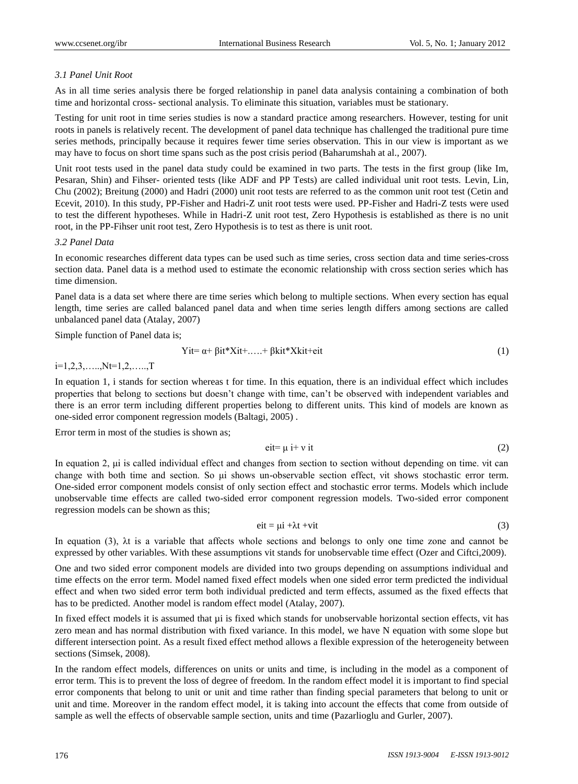#### *3.1 Panel Unit Root*

As in all time series analysis there be forged relationship in panel data analysis containing a combination of both time and horizontal cross- sectional analysis. To eliminate this situation, variables must be stationary.

Testing for unit root in time series studies is now a standard practice among researchers. However, testing for unit roots in panels is relatively recent. The development of panel data technique has challenged the traditional pure time series methods, principally because it requires fewer time series observation. This in our view is important as we may have to focus on short time spans such as the post crisis period (Baharumshah at al., 2007).

Unit root tests used in the panel data study could be examined in two parts. The tests in the first group (like Im, Pesaran, Shin) and Fihser- oriented tests (like ADF and PP Tests) are called individual unit root tests. Levin, Lin, Chu (2002); Breitung (2000) and Hadri (2000) unit root tests are referred to as the common unit root test (Cetin and Ecevit, 2010). In this study, PP-Fisher and Hadri-Z unit root tests were used. PP-Fisher and Hadri-Z tests were used to test the different hypotheses. While in Hadri-Z unit root test, Zero Hypothesis is established as there is no unit root, in the PP-Fihser unit root test, Zero Hypothesis is to test as there is unit root.

#### *3.2 Panel Data*

In economic researches different data types can be used such as time series, cross section data and time series-cross section data. Panel data is a method used to estimate the economic relationship with cross section series which has time dimension.

Panel data is a data set where there are time series which belong to multiple sections. When every section has equal length, time series are called balanced panel data and when time series length differs among sections are called unbalanced panel data (Atalay, 2007)

Simple function of Panel data is;

$$
Yit = \alpha + \beta it * Xit + \dots + \beta kit * Xkit + eit \tag{1}
$$

 $i=1,2,3,...,Nt=1,2,...,T$ 

In equation 1, i stands for section whereas t for time. In this equation, there is an individual effect which includes properties that belong to sections but doesn't change with time, can't be observed with independent variables and there is an error term including different properties belong to different units. This kind of models are known as one-sided error component regression models (Baltagi, 2005) .

Error term in most of the studies is shown as;

$$
eit = \mu i + v it \tag{2}
$$

In equation 2, μi is called individual effect and changes from section to section without depending on time. νit can change with both time and section. So μi shows un-observable section effect, νit shows stochastic error term. One-sided error component models consist of only section effect and stochastic error terms. Models which include unobservable time effects are called two-sided error component regression models. Two-sided error component regression models can be shown as this;

$$
eit = \mu i + \lambda t + \nu it \tag{3}
$$

In equation (3),  $\lambda t$  is a variable that affects whole sections and belongs to only one time zone and cannot be expressed by other variables. With these assumptions vit stands for unobservable time effect (Ozer and Ciftci,2009).

One and two sided error component models are divided into two groups depending on assumptions individual and time effects on the error term. Model named fixed effect models when one sided error term predicted the individual effect and when two sided error term both individual predicted and term effects, assumed as the fixed effects that has to be predicted. Another model is random effect model (Atalay, 2007).

In fixed effect models it is assumed that  $\mu$  is fixed which stands for unobservable horizontal section effects, vit has zero mean and has normal distribution with fixed variance. In this model, we have N equation with some slope but different intersection point. As a result fixed effect method allows a flexible expression of the heterogeneity between sections (Simsek, 2008).

In the random effect models, differences on units or units and time, is including in the model as a component of error term. This is to prevent the loss of degree of freedom. In the random effect model it is important to find special error components that belong to unit or unit and time rather than finding special parameters that belong to unit or unit and time. Moreover in the random effect model, it is taking into account the effects that come from outside of sample as well the effects of observable sample section, units and time (Pazarlioglu and Gurler, 2007).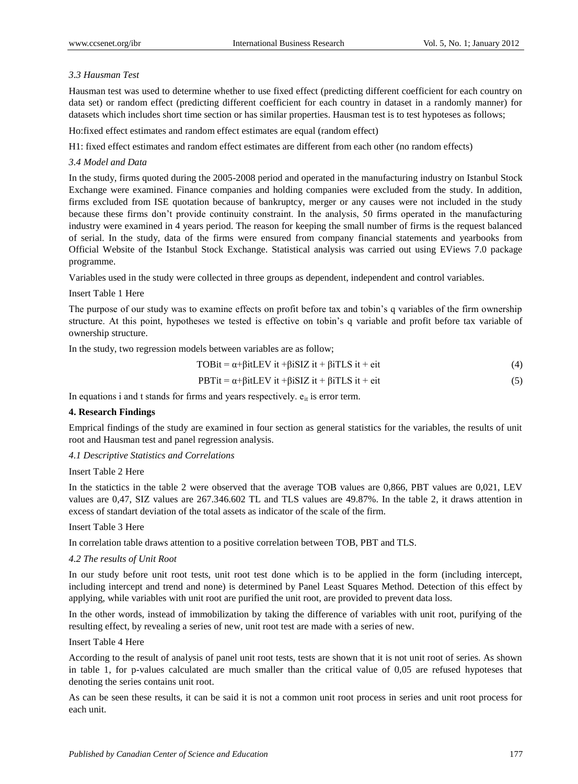## *3.3 Hausman Test*

Hausman test was used to determine whether to use fixed effect (predicting different coefficient for each country on data set) or random effect (predicting different coefficient for each country in dataset in a randomly manner) for datasets which includes short time section or has similar properties. Hausman test is to test hypoteses as follows;

Ho:fixed effect estimates and random effect estimates are equal (random effect)

H1: fixed effect estimates and random effect estimates are different from each other (no random effects)

## *3.4 Model and Data*

In the study, firms quoted during the 2005-2008 period and operated in the manufacturing industry on Istanbul Stock Exchange were examined. Finance companies and holding companies were excluded from the study. In addition, firms excluded from ISE quotation because of bankruptcy, merger or any causes were not included in the study because these firms don't provide continuity constraint. In the analysis, 50 firms operated in the manufacturing industry were examined in 4 years period. The reason for keeping the small number of firms is the request balanced of serial. In the study, data of the firms were ensured from company financial statements and yearbooks from Official Website of the Istanbul Stock Exchange. Statistical analysis was carried out using EViews 7.0 package programme.

Variables used in the study were collected in three groups as dependent, independent and control variables.

## Insert Table 1 Here

The purpose of our study was to examine effects on profit before tax and tobin's q variables of the firm ownership structure. At this point, hypotheses we tested is effective on tobin's q variable and profit before tax variable of ownership structure.

In the study, two regression models between variables are as follow;

$$
TOBit = \alpha + \beta itLEV \text{ it} + \beta iSIZ \text{ it} + \beta iTLS \text{ it} + \text{ eit}
$$
\n
$$
\tag{4}
$$

 $PBTit = \alpha + \beta itLEV$  it + $\beta iSIZ$  it +  $\beta iTLS$  it + eit (5)

In equations i and t stands for firms and years respectively.  $e_{it}$  is error term.

## **4. Research Findings**

Emprical findings of the study are examined in four section as general statistics for the variables, the results of unit root and Hausman test and panel regression analysis.

## *4.1 Descriptive Statistics and Correlations*

## Insert Table 2 Here

In the statictics in the table 2 were observed that the average TOB values are 0,866, PBT values are 0,021, LEV values are 0,47, SIZ values are 267.346.602 TL and TLS values are 49.87%. In the table 2, it draws attention in excess of standart deviation of the total assets as indicator of the scale of the firm.

Insert Table 3 Here

In correlation table draws attention to a positive correlation between TOB, PBT and TLS.

## *4.2 The results of Unit Root*

In our study before unit root tests, unit root test done which is to be applied in the form (including intercept, including intercept and trend and none) is determined by Panel Least Squares Method. Detection of this effect by applying, while variables with unit root are purified the unit root, are provided to prevent data loss.

In the other words, instead of immobilization by taking the difference of variables with unit root, purifying of the resulting effect, by revealing a series of new, unit root test are made with a series of new.

## Insert Table 4 Here

According to the result of analysis of panel unit root tests, tests are shown that it is not unit root of series. As shown in table 1, for p-values calculated are much smaller than the critical value of 0,05 are refused hypoteses that denoting the series contains unit root.

As can be seen these results, it can be said it is not a common unit root process in series and unit root process for each unit.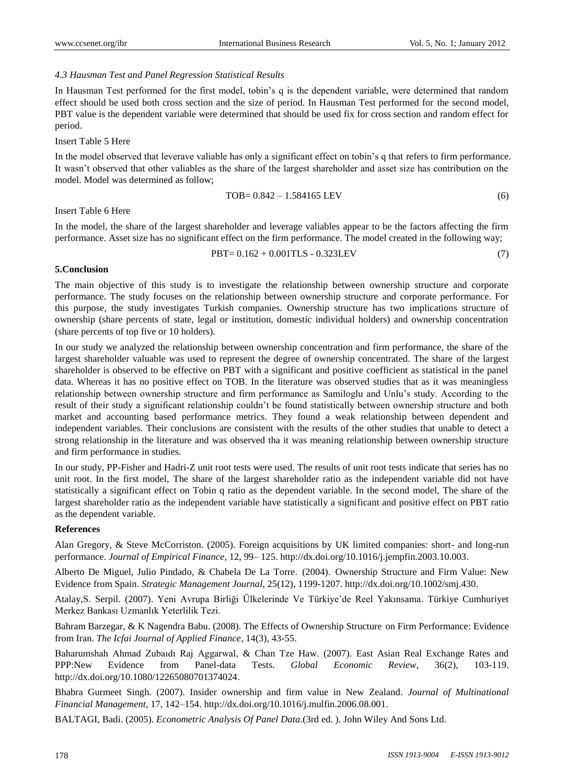## *4.3 Hausman Test and Panel Regression Statistical Results*

In Hausman Test performed for the first model, tobin's q is the dependent variable, were determined that random effect should be used both cross section and the size of period. In Hausman Test performed for the second model, PBT value is the dependent variable were determined that should be used fix for cross section and random effect for period.

## Insert Table 5 Here

In the model observed that leverave valiable has only a significant effect on tobin's q that refers to firm performance. It wasn't observed that other valiables as the share of the largest shareholder and asset size has contribution on the model. Model was determined as follow;

$$
TOB = 0.842 - 1.584165 \text{ LEV} \tag{6}
$$

Insert Table 6 Here

In the model, the share of the largest shareholder and leverage valiables appear to be the factors affecting the firm performance. Asset size has no significant effect on the firm performance. The model created in the following way;

$$
PBT = 0.162 + 0.001TLS - 0.323LEV
$$
 (7)

#### **5.Conclusion**

The main objective of this study is to investigate the relationship between ownership structure and corporate performance. The study focuses on the relationship between ownership structure and corporate performance. For this purpose, the study investigates Turkish companies. Ownership structure has two implications structure of ownership (share percents of state, legal or institution, domestic individual holders) and ownership concentration (share percents of top five or 10 holders).

In our study we analyzed the relationship between ownership concentration and firm performance, the share of the largest shareholder valuable was used to represent the degree of ownership concentrated. The share of the largest shareholder is observed to be effective on PBT with a significant and positive coefficient as statistical in the panel data. Whereas it has no positive effect on TOB. In the literature was observed studies that as it was meaningless relationship between ownership structure and firm performance as Samiloglu and Unlu's study. According to the result of their study a significant relationship couldn't be found statistically between ownership structure and both market and accounting based performance metrics. They found a weak relationship between dependent and independent variables. Their conclusions are consistent with the results of the other studies that unable to detect a strong relationship in the literature and was observed tha it was meaning relationship between ownership structure and firm performance in studies.

In our study, PP-Fisher and Hadri-Z unit root tests were used. The results of unit root tests indicate that series has no unit root. In the first model, The share of the largest shareholder ratio as the independent variable did not have statistically a significant effect on Tobin q ratio as the dependent variable. In the second model, The share of the largest shareholder ratio as the independent variable have statistically a significant and positive effect on PBT ratio as the dependent variable.

## **References**

Alan Gregory, & Steve McCorriston. (2005). Foreign acquisitions by UK limited companies: short- and long-run performance. *Journal of Empirical Finance*, 12, 99– 125. [http://dx.doi.org/10.1016/j.jempfin.2003.10.003.](http://dx.doi.org/10.1016/j.jempfin.2003.10.003)

Alberto De Miguel, Julio Pindado, & Chabela De La Torre. (2004). Ownership Structure and Firm Value: New Evidence from Spain. *Strategic Management Journal*, 25(12), 1199-1207[. http://dx.doi.org/10.1002/smj.430.](http://dx.doi.org/10.1002/smj.430)

Atalay,S. Serpil. (2007). Yeni Avrupa Birliği Ülkelerinde Ve Türkiye'de Reel Yakınsama. Türkiye Cumhuriyet Merkez Bankası Uzmanlık Yeterlilik Tezi.

Bahram Barzegar, & K Nagendra Babu. (2008). The Effects of Ownership Structure on Firm Performance: Evidence from Iran. *The Icfai Journal of Applied Finance*, 14(3), 43-55.

Baharumshah Ahmad Zubaıdı Raj Aggarwal, & Chan Tze Haw. (2007). East Asian Real Exchange Rates and PPP:New Evidence from Panel-data Tests. *Global Economic Review,* 36(2), 103-119. [http://dx.doi.org/10.1080/12265080701374024.](http://dx.doi.org/10.1080/12265080701374024)

Bhabra Gurmeet Singh. (2007). Insider ownership and firm value in New Zealand. *Journal of Multinational Financial Management*, 17, 142–154. [http://dx.doi.org/10.1016/j.mulfin.2006.08.001.](http://dx.doi.org/10.1016/j.mulfin.2006.08.001)

BALTAGI, Badi. (2005). *Econometric Analysis Of Panel Data*.(3rd ed. ). John Wiley And Sons Ltd.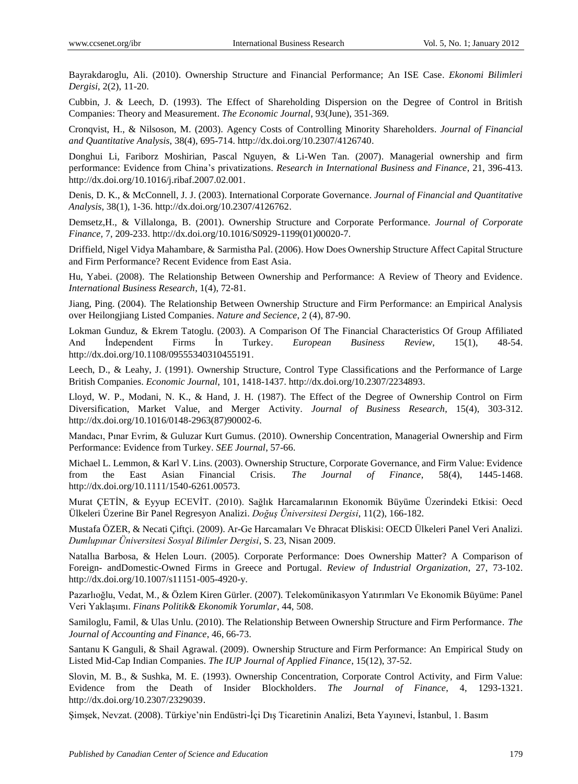Bayrakdaroglu, Ali. (2010). Ownership Structure and Financial Performance; An ISE Case. *Ekonomi Bilimleri Dergisi*, 2(2), 11-20.

Cubbin, J. & Leech, D. (1993). The Effect of Shareholding Dispersion on the Degree of Control in British Companies: Theory and Measurement. *The Economic Journal*, 93(June), 351-369.

Cronqvist, H., & Nilsoson, M. (2003). Agency Costs of Controlling Minority Shareholders. *Journal of Financial and Quantitative Analysis*, 38(4), 695-714. [http://dx.doi.org/10.2307/4126740.](http://dx.doi.org/10.2307/4126740)

Donghui Li, Fariborz Moshirian, Pascal Nguyen, & Li-Wen Tan. (2007). Managerial ownership and firm performance: Evidence from China's privatizations. *Research in International Business and Finance*, 21, 396-413. [http://dx.doi.org/10.1016/j.ribaf.2007.02.001.](http://dx.doi.org/10.1016/j.ribaf.2007.02.001)

Denis, D. K., & McConnell, J. J. (2003). International Corporate Governance. *Journal of Financial and Quantitative Analysis*, 38(1), 1-36. [http://dx.doi.org/10.2307/4126762.](http://dx.doi.org/10.2307/4126762)

Demsetz,H., & Villalonga, B. (2001). Ownership Structure and Corporate Performance. *Journal of Corporate Finance,* 7, 209-233. [http://dx.doi.org/10.1016/S0929-1199\(01\)00020-7.](http://dx.doi.org/10.1016/S0929-1199(01)00020-7)

Driffield, Nigel Vidya Mahambare, & Sarmistha Pal. (2006). How Does Ownership Structure Affect Capital Structure and Firm Performance? Recent Evidence from East Asia.

Hu, Yabei. (2008). The Relationship Between Ownership and Performance: A Review of Theory and Evidence. *International Business Research*, 1(4), 72-81.

Jiang, Ping. (2004). The Relationship Between Ownership Structure and Firm Performance: an Empirical Analysis over Heilongjiang Listed Companies. *Nature and Secience*, 2 (4), 87-90.

Lokman Gunduz, & Ekrem Tatoglu. (2003). A Comparison Of The Financial Characteristics Of Group Affiliated And İndependent Firms İn Turkey. *European Business Review,* 15(1), 48-54. [http://dx.doi.org/10.1108/09555340310455191.](http://dx.doi.org/10.1108/09555340310455191)

Leech, D., & Leahy, J. (1991). Ownership Structure, Control Type Classifications and the Performance of Large British Companies. *Economic Journal*, 101, 1418-1437. [http://dx.doi.org/10.2307/2234893.](http://dx.doi.org/10.2307/2234893)

Lloyd, W. P., Modani, N. K., & Hand, J. H. (1987). The Effect of the Degree of Ownership Control on Firm Diversification, Market Value, and Merger Activity. *Journal of Business Research*, 15(4), 303-312. [http://dx.doi.org/10.1016/0148-2963\(87\)90002-6.](http://dx.doi.org/10.1016/0148-2963(87)90002-6) 

Mandacı, Pınar Evrim, & Guluzar Kurt Gumus. (2010). Ownership Concentration, Managerial Ownership and Firm Performance: Evidence from Turkey. *SEE Journal*, 57-66.

Michael L. Lemmon, & Karl V. Lins. (2003). Ownership Structure, Corporate Governance, and Firm Value: Evidence from the East Asian Financial Crisis. *The Journal of Finance*, 58(4), 1445-1468. [http://dx.doi.org/10.1111/1540-6261.00573.](http://dx.doi.org/10.1111/1540-6261.00573)

Murat ÇETİN, & Eyyup ECEVİT. (2010). Sağlık Harcamalarının Ekonomik Büyüme Üzerindeki Etkisi: Oecd Ülkeleri Üzerine Bir Panel Regresyon Analizi. *Doğuş Üniversitesi Dergisi*, 11(2), 166-182.

Mustafa ÖZER, & Necati Çiftçi. (2009). Ar-Ge Harcamaları Ve Đhracat Đliskisi: OECD Ülkeleri Panel Veri Analizi. *Dumlupınar Üniversitesi Sosyal Bilimler Dergisi*, S. 23, Nisan 2009.

Natallıa Barbosa, & Helen Lourı. (2005). Corporate Performance: Does Ownership Matter? A Comparison of Foreign- andDomestic-Owned Firms in Greece and Portugal. *Review of Industrial Organization*, 27, 73-102. [http://dx.doi.org/10.1007/s11151-005-4920-y.](http://dx.doi.org/10.1007/s11151-005-4920-y)

Pazarlıoğlu, Vedat, M., & Özlem Kiren Gürler. (2007). Telekomünikasyon Yatırımları Ve Ekonomik Büyüme: Panel Veri Yaklaşımı. *Finans Politik& Ekonomik Yorumlar*, 44, 508.

Samiloglu, Famil, & Ulas Unlu. (2010). The Relationship Between Ownership Structure and Firm Performance. *The Journal of Accounting and Finance*, 46, 66-73.

Santanu K Ganguli, & Shail Agrawal. (2009). Ownership Structure and Firm Performance: An Empirical Study on Listed Mid-Cap Indian Companies. *The IUP Journal of Applied Finance*, 15(12), 37-52.

Slovin, M. B., & Sushka, M. E. (1993). Ownership Concentration, Corporate Control Activity, and Firm Value: Evidence from the Death of Insider Blockholders. *The Journal of Finance*, 4, 1293-1321. <http://dx.doi.org/10.2307/2329039>.

Şimşek, Nevzat. (2008). Türkiye'nin Endüstri-İçi Dış Ticaretinin Analizi, Beta Yayınevi, İstanbul, 1. Basım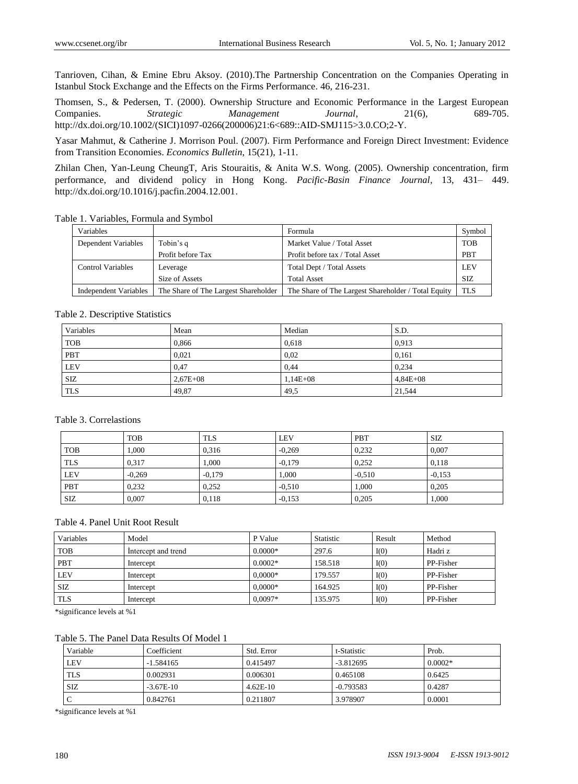Tanrioven, Cihan, & Emine Ebru Aksoy. (2010).The Partnership Concentration on the Companies Operating in Istanbul Stock Exchange and the Effects on the Firms Performance. 46, 216-231.

Thomsen, S., & Pedersen, T. (2000). Ownership Structure and Economic Performance in the Largest European Companies. *Strategic Management Journal*, 21(6), 689-705. [http://dx.doi.org/10.1002/\(SICI\)1097-0266\(200006\)21:6<689::AID-SMJ115>3.0.CO;2-Y.](http://dx.doi.org/10.1002/(SICI)1097-0266(200006)21:6%3c689::AID-SMJ115%3e3.0.CO;2-Y)

Yasar Mahmut, & Catherine J. Morrison Poul. (2007). Firm Performance and Foreign Direct Investment: Evidence from Transition Economies. *Economics Bulletin*, 15(21), 1-11.

Zhilan Chen, Yan-Leung CheungT, Aris Stouraitis, & Anita W.S. Wong. (2005). Ownership concentration, firm performance, and dividend policy in Hong Kong. *Pacific-Basin Finance Journal,* 13, 431– 449. [http://dx.doi.org/10.1016/j.pacfin.2004.12.001.](http://dx.doi.org/10.1016/j.pacfin.2004.12.001)

Table 1. Variables, Formula and Symbol

| Variables                |                                      | Formula                                             | Symbol     |
|--------------------------|--------------------------------------|-----------------------------------------------------|------------|
| Dependent Variables      | Tobin's q                            | Market Value / Total Asset                          | <b>TOB</b> |
|                          | Profit before Tax                    | Profit before tax / Total Asset                     | PBT        |
| <b>Control Variables</b> | Leverage                             | Total Dept / Total Assets                           | LEV        |
|                          | Size of Assets                       | <b>Total Asset</b>                                  | SIZ        |
| Independent Variables    | The Share of The Largest Shareholder | The Share of The Largest Shareholder / Total Equity | <b>TLS</b> |

## Table 2. Descriptive Statistics

| Variables  | Mean       | Median     | S.D.       |
|------------|------------|------------|------------|
| <b>TOB</b> | 0.866      | 0,618      | 0.913      |
| PBT        | 0.021      | 0.02       | 0,161      |
| <b>LEV</b> | 0.47       | 0,44       | 0.234      |
| <b>SIZ</b> | $2,67E+08$ | $1,14E+08$ | $4,84E+08$ |
| <b>TLS</b> | 49,87      | 49,5       | 21,544     |

Table 3. Correlastions

|            | <b>TOB</b> | TLS      | LEV      | <b>PBT</b> | SIZ      |
|------------|------------|----------|----------|------------|----------|
| <b>TOB</b> | 1.000      | 0,316    | $-0.269$ | 0,232      | 0,007    |
| <b>TLS</b> | 0.317      | 000.1    | $-0.179$ | 0,252      | 0,118    |
| <b>LEV</b> | $-0.269$   | $-0.179$ | 1.000    | $-0.510$   | $-0.153$ |
| <b>PBT</b> | 0,232      | 0,252    | $-0.510$ | 1.000      | 0.205    |
| SIZ        | 0.007      | 0.118    | $-0.153$ | 0,205      | 1.000    |

## Table 4. Panel Unit Root Result

| Variables  | Model               | P Value   | Statistic | Result | Method    |
|------------|---------------------|-----------|-----------|--------|-----------|
| <b>TOB</b> | Intercept and trend | $0.0000*$ | 297.6     | I(0)   | Hadri z   |
| <b>PBT</b> | Intercept           | $0.0002*$ | 158.518   | I(0)   | PP-Fisher |
| <b>LEV</b> | Intercept           | $0.0000*$ | 179.557   | I(0)   | PP-Fisher |
| SIZ        | Intercept           | $0.0000*$ | 164.925   | I(0)   | PP-Fisher |
| <b>TLS</b> | Intercept           | $0.0097*$ | 135.975   | I(0)   | PP-Fisher |

\*significance levels at %1

#### Table 5. The Panel Data Results Of Model 1

| Variable | Coefficient | Std. Error | t-Statistic | Prob.     |
|----------|-------------|------------|-------------|-----------|
| LEV      | $-1.584165$ | 0.415497   | $-3.812695$ | $0.0002*$ |
| TLS      | 0.002931    | 0.006301   | 0.465108    | 0.6425    |
| SIZ      | $-3.67E-10$ | $4.62E-10$ | $-0.793583$ | 0.4287    |
|          | 0.842761    | 0.211807   | 3.978907    | 0.0001    |

\*significance levels at %1